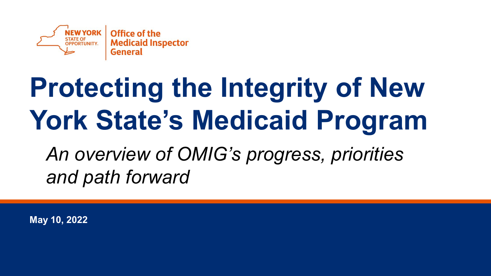

### **Protecting the Integrity of New York State's Medicaid Program**

*An overview of OMIG's progress, priorities and path forward*

**May 10, 2022**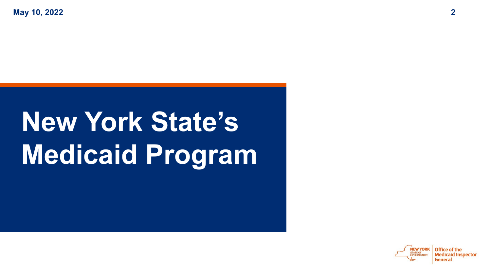**May 10, 2022 2**

### **New York State's Medicaid Program**

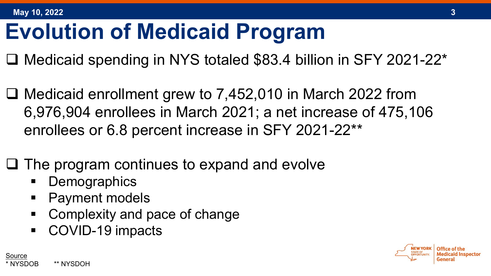Source

#### **Evolution of Medicaid Program**

- □ Medicaid spending in NYS totaled \$83.4 billion in SFY 2021-22\*
- □ Medicaid enrollment grew to 7,452,010 in March 2022 from 6,976,904 enrollees in March 2021; a net increase of 475,106 enrollees or 6.8 percent increase in SFY 2021-22\*\*
- $\Box$  The program continues to expand and evolve
	- **Demographics**

\* NYSDOB \*\* NYSDOH

- Payment models
- Complexity and pace of change
- COVID-19 impacts

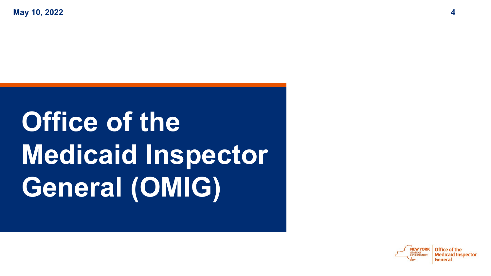**May 10, 2022 4**

## **Office of the Medicaid Inspector General (OMIG)**

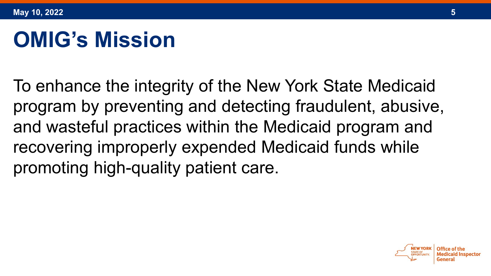#### **OMIG's Mission**

To enhance the integrity of the New York State Medicaid program by preventing and detecting fraudulent, abusive, and wasteful practices within the Medicaid program and recovering improperly expended Medicaid funds while promoting high-quality patient care.

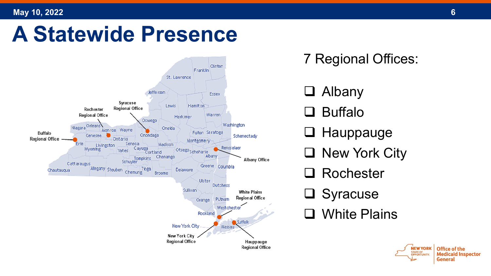#### **May 10, 2022 6**

#### **A Statewide Presence**



7 Regional Offices:

- **Q** Albany
- Buffalo
- □ Hauppauge
- □ New York City
- Rochester
- Syracuse
- □ White Plains

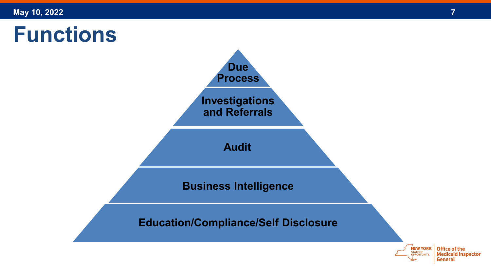#### **Functions**

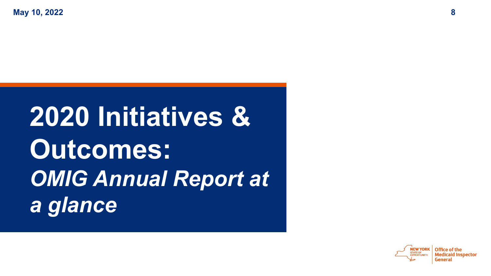### **2020 Initiatives & Outcomes:** *OMIG Annual Report at a glance*

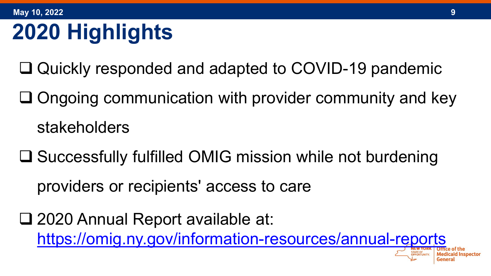### **2020 Highlights**

- □ Quickly responded and adapted to COVID-19 pandemic
- $\Box$  Ongoing communication with provider community and key stakeholders
- **□ Successfully fulfilled OMIG mission while not burdening** providers or recipients' access to care
- □ 2020 Annual Report available at: <https://omig.ny.gov/information-resources/annual-reports>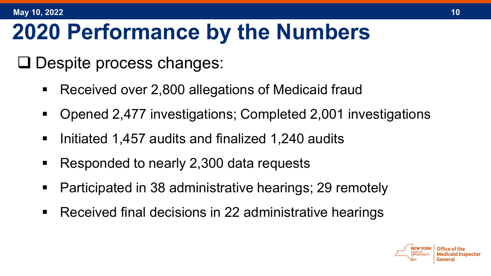#### **2020 Performance by the Numbers**

 $\Box$  Despite process changes:

- Received over 2,800 allegations of Medicaid fraud
- Opened 2,477 investigations; Completed 2,001 investigations
- Initiated 1,457 audits and finalized 1,240 audits
- Responded to nearly 2,300 data requests
- Participated in 38 administrative hearings; 29 remotely
- Received final decisions in 22 administrative hearings

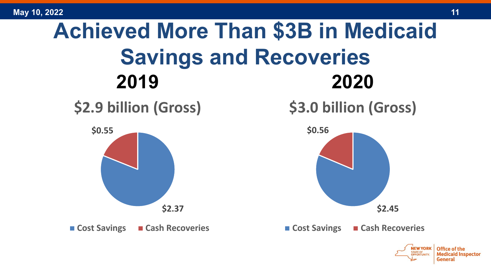

Medicaid Inspector

General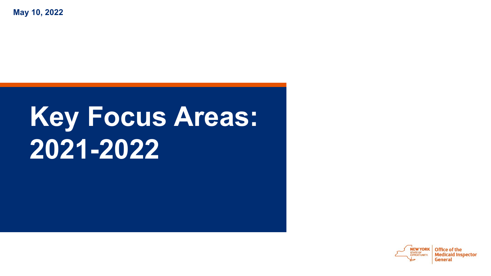**May 10, 2022**

### **Key Focus Areas: 2021-2022**

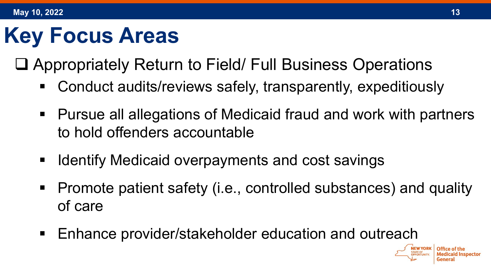Appropriately Return to Field/ Full Business Operations

- Conduct audits/reviews safely, transparently, expeditiously
- Pursue all allegations of Medicaid fraud and work with partners to hold offenders accountable
- **If Identify Medicaid overpayments and cost savings**
- Promote patient safety (i.e., controlled substances) and quality of care
- Enhance provider/stakeholder education and outreach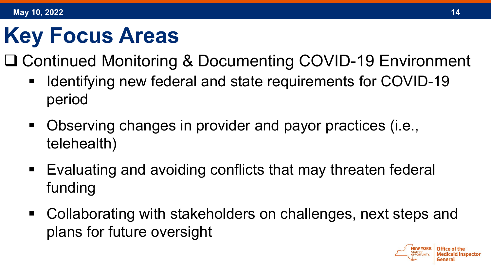□ Continued Monitoring & Documenting COVID-19 Environment

- Identifying new federal and state requirements for COVID-19 period
- Observing changes in provider and payor practices (i.e., telehealth)
- Evaluating and avoiding conflicts that may threaten federal funding
- Collaborating with stakeholders on challenges, next steps and plans for future oversight

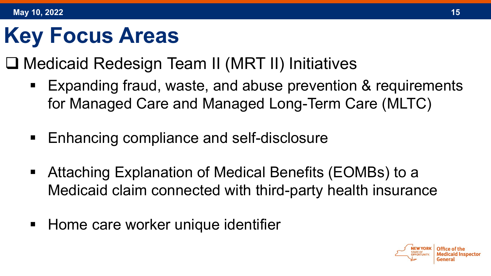- □ Medicaid Redesign Team II (MRT II) Initiatives
	- Expanding fraud, waste, and abuse prevention & requirements for Managed Care and Managed Long-Term Care (MLTC)
	- **Enhancing compliance and self-disclosure**
	- Attaching Explanation of Medical Benefits (EOMBs) to a Medicaid claim connected with third-party health insurance
	- **Home care worker unique identifier**

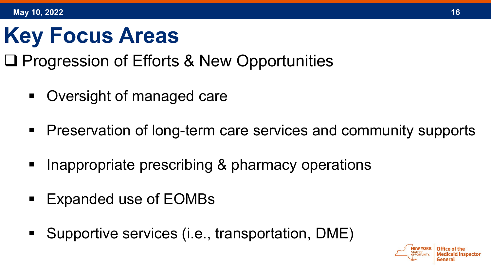#### **□ Progression of Efforts & New Opportunities**

- Oversight of managed care
- Preservation of long-term care services and community supports
- Inappropriate prescribing & pharmacy operations
- Expanded use of EOMBs
- Supportive services (i.e., transportation, DME)

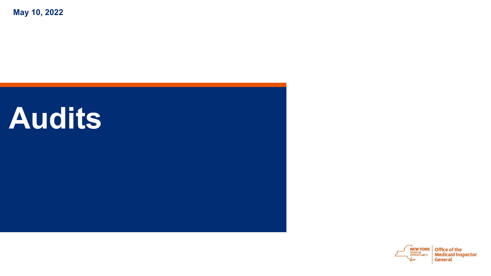**May 10, 2022**

### **Audits**

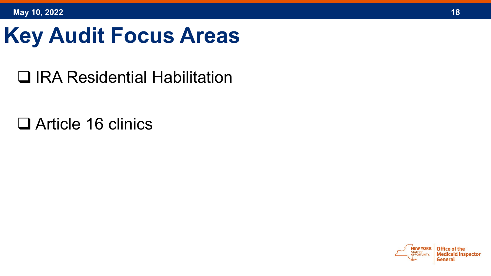#### **Key Audit Focus Areas**

IRA Residential Habilitation

□ Article 16 clinics

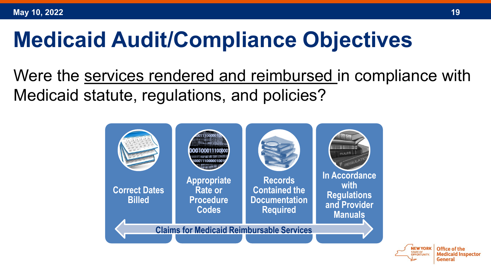#### **Medicaid Audit/Compliance Objectives**

Were the services rendered and reimbursed in compliance with Medicaid statute, regulations, and policies?



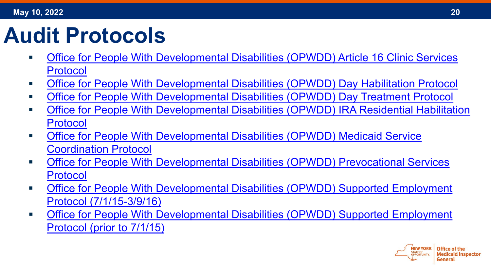#### **Audit Protocols**

- [Office for People With Developmental Disabilities \(OPWDD\) Article 16 Clinic Services](https://omig.ny.gov/media/54121/download)  Protocol
- [Office for People With Developmental Disabilities \(OPWDD\) Day Habilitation Protocol](https://omig.ny.gov/media/54126/download)
- [Office for People With Developmental Disabilities \(OPWDD\) Day Treatment Protocol](https://omig.ny.gov/media/59941/download)
- [Office for People With Developmental Disabilities \(OPWDD\) IRA Residential Habilitation](https://omig.ny.gov/media/54136/download)  Protocol
- [Office for People With Developmental Disabilities \(OPWDD\) Medicaid Service](https://omig.ny.gov/media/54141/download) Coordination Protocol
- [Office for People With Developmental Disabilities \(OPWDD\) Prevocational Services](https://omig.ny.gov/media/54146/download) Protocol
- [Office for People With Developmental Disabilities \(OPWDD\) Supported Employment](https://omig.ny.gov/media/59951/download)  Protocol (7/1/15-3/9/16)
- [Office for People With Developmental Disabilities \(OPWDD\) Supported Employment](https://omig.ny.gov/media/59956/download)  Protocol (prior to 7/1/15)

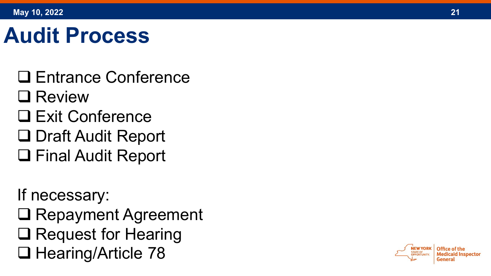#### **Audit Process**

- □ Entrance Conference
- □ Review
- □ Exit Conference
- □ Draft Audit Report
- □ Final Audit Report

If necessary:

- □ Repayment Agreement
- **□ Request for Hearing**
- $\Box$  Hearing/Article 78

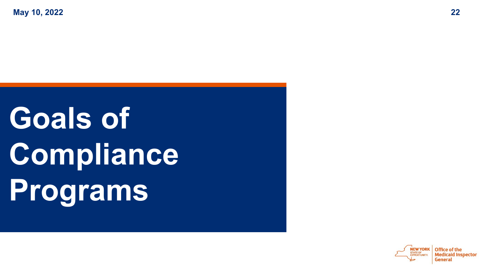**May 10, 2022 22**

# **Goals of Compliance Programs**

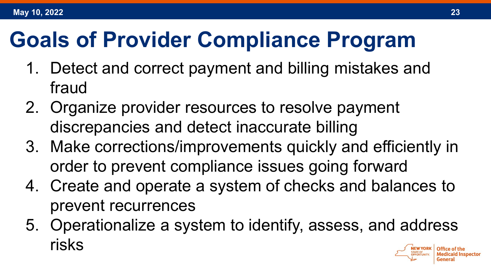#### **Goals of Provider Compliance Program**

- 1. Detect and correct payment and billing mistakes and fraud
- 2. Organize provider resources to resolve payment discrepancies and detect inaccurate billing
- 3. Make corrections/improvements quickly and efficiently in order to prevent compliance issues going forward
- 4. Create and operate a system of checks and balances to prevent recurrences
- 5. Operationalize a system to identify, assess, and address risks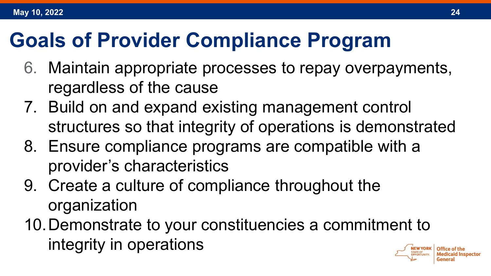#### **Goals of Provider Compliance Program**

- 6. Maintain appropriate processes to repay overpayments, regardless of the cause
- 7. Build on and expand existing management control structures so that integrity of operations is demonstrated
- 8. Ensure compliance programs are compatible with a provider's characteristics
- 9. Create a culture of compliance throughout the organization
- 10.Demonstrate to your constituencies a commitment to integrity in operations

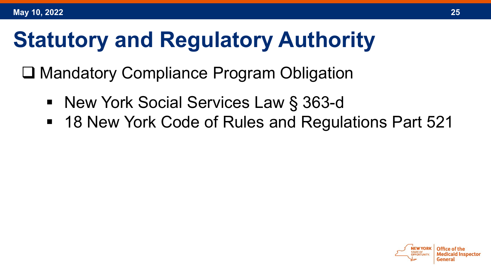#### **Statutory and Regulatory Authority**

□ Mandatory Compliance Program Obligation

- New York Social Services Law § 363-d
- 18 New York Code of Rules and Regulations Part 521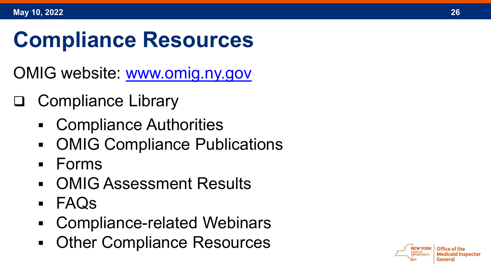#### **Compliance Resources**

OMIG website: [www.omig.ny.gov](http://www.omig.ny.gov/)

- □ Compliance Library
	- Compliance Authorities
	- OMIG Compliance Publications
	- Forms
	- OMIG Assessment Results
	- FAQs
	- Compliance-related Webinars
	- **Other Compliance Resources**

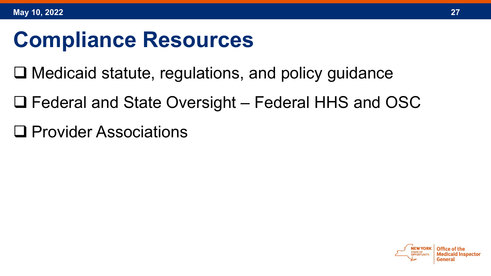#### **Compliance Resources**

- $\Box$  Medicaid statute, regulations, and policy guidance
- Federal and State Oversight Federal HHS and OSC
- □ Provider Associations

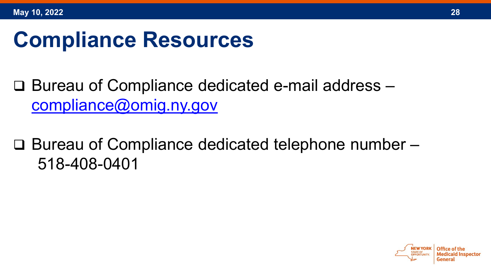#### **Compliance Resources**

□ Bureau of Compliance dedicated e-mail address [compliance@omig.ny.gov](mailto:compliance@omig.ny.gov)

 $\Box$  Bureau of Compliance dedicated telephone number  $\Box$ 518-408-0401

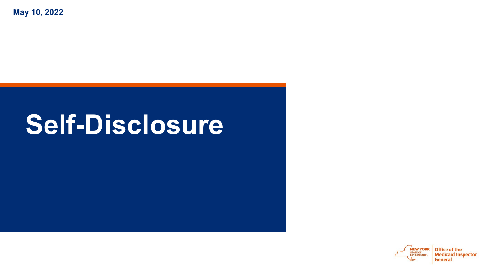**May 10, 2022**

#### **Self-Disclosure**

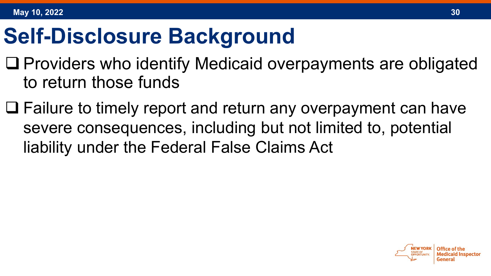#### **Self-Disclosure Background**

- $\Box$  Providers who identify Medicaid overpayments are obligated to return those funds
- □ Failure to timely report and return any overpayment can have severe consequences, including but not limited to, potential liability under the Federal False Claims Act

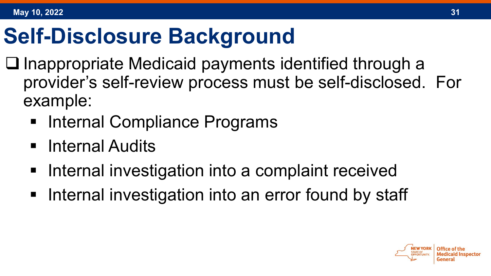#### **Self-Disclosure Background**

- $\square$  Inappropriate Medicaid payments identified through a provider's self-review process must be self-disclosed. For example:
	- **Internal Compliance Programs**
	- Internal Audits
	- **Internal investigation into a complaint received**
	- **Internal investigation into an error found by staff**

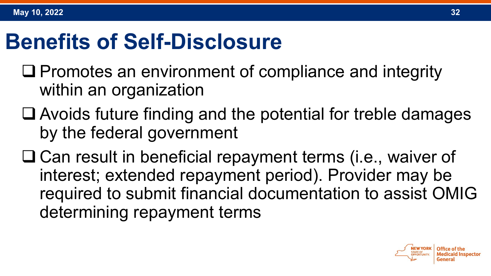#### **Benefits of Self-Disclosure**

- $\Box$  Promotes an environment of compliance and integrity within an organization
- Avoids future finding and the potential for treble damages by the federal government
- □ Can result in beneficial repayment terms (i.e., waiver of interest; extended repayment period). Provider may be required to submit financial documentation to assist OMIG determining repayment terms

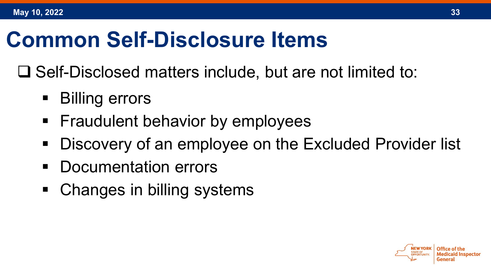#### **Common Self-Disclosure Items**

 $\Box$  Self-Disclosed matters include, but are not limited to:

- Billing errors
- **Figualish** Fraudulent behavior by employees
- **Discovery of an employee on the Excluded Provider list**
- **Documentation errors**
- Changes in billing systems



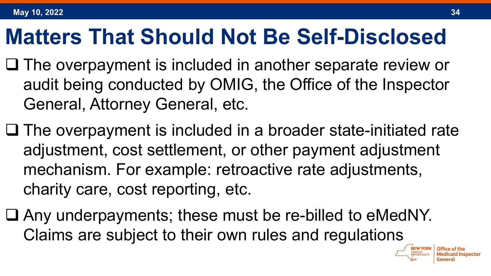#### **Matters That Should Not Be Self-Disclosed**

- $\Box$  The overpayment is included in another separate review or audit being conducted by OMIG, the Office of the Inspector General, Attorney General, etc.
- $\Box$  The overpayment is included in a broader state-initiated rate adjustment, cost settlement, or other payment adjustment mechanism. For example: retroactive rate adjustments, charity care, cost reporting, etc.
- Any underpayments; these must be re-billed to eMedNY. Claims are subject to their own rules and regulations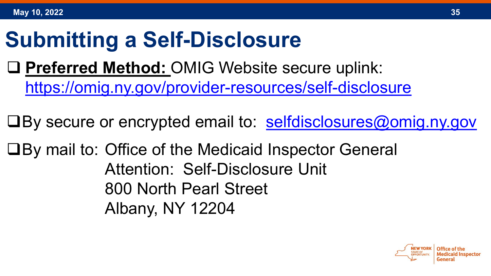#### **Submitting a Self-Disclosure**

 **Preferred Method:** OMIG Website secure uplink: <https://omig.ny.gov/provider-resources/self-disclosure>

 $\Box$  By secure or encrypted email to: [selfdisclosures@omig.ny.gov](mailto:selfdisclosures@omig.ny.gov)

■By mail to: Office of the Medicaid Inspector General Attention: Self-Disclosure Unit 800 North Pearl Street Albany, NY 12204

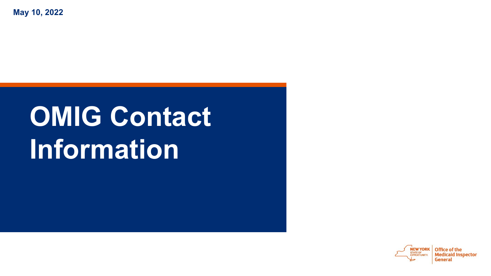**May 10, 2022**

### **OMIG Contact Information**

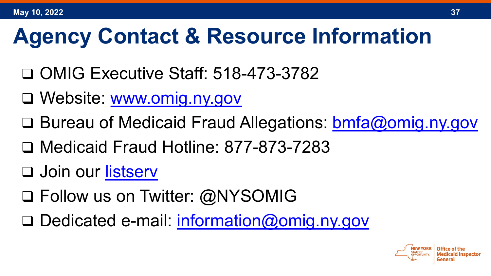#### **Agency Contact & Resource Information**

- □ OMIG Executive Staff: 518-473-3782
- Website: [www.omig.ny.gov](http://www.omig.ny.gov/)
- □ Bureau of Medicaid Fraud Allegations: [bmfa@omig.ny.gov](mailto:bmfa@omig.ny.gov)
- Medicaid Fraud Hotline: 877-873-7283
- □ Join our [listserv](https://omig.ny.gov/about-us/contact-us/get-response-listserv)
- □ Follow us on Twitter: @NYSOMIG
- □ Dedicated e-mail: [information@omig.ny.gov](mailto:information@omig.ny.gov)

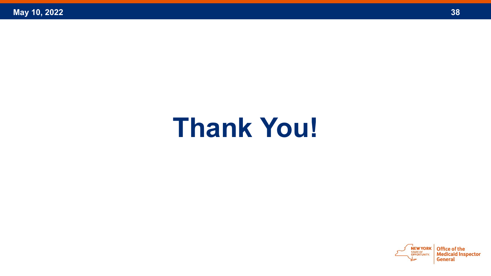### **Thank You!**